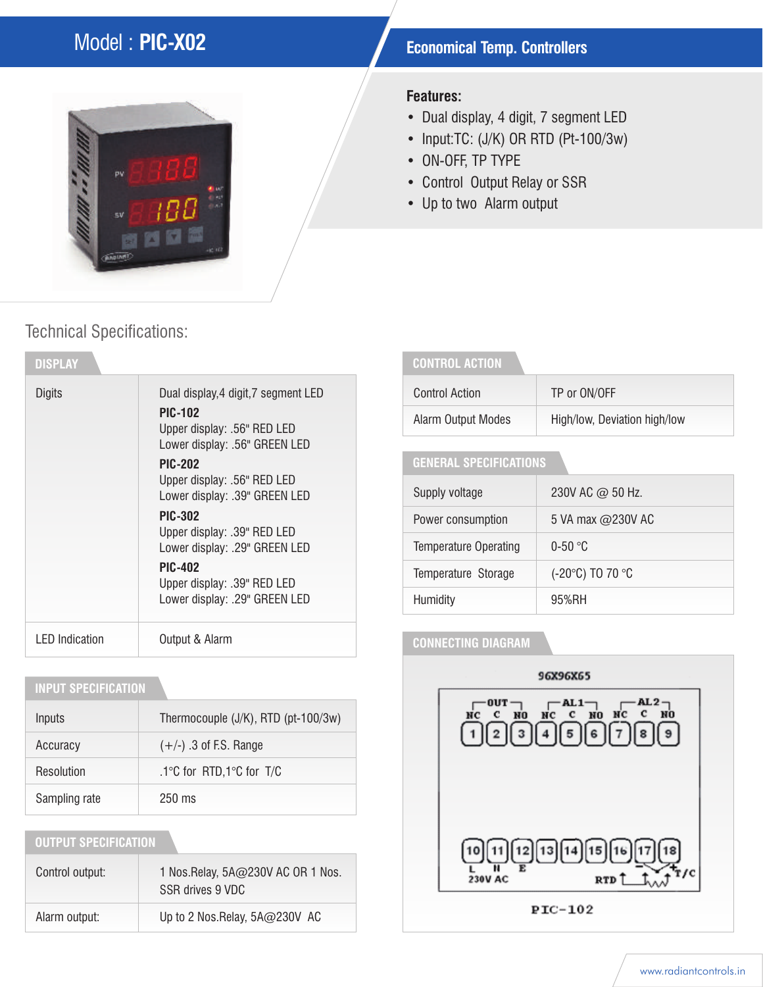# **Model : PIC-X02 Economical Temp. Controllers**



#### **Features:**

- Dual display, 4 digit, 7 segment LED
- Input:TC: (J/K) OR RTD (Pt-100/3w)
- ON-OFF, TP TYPE
- Control Output Relay or SSR
- Up to two Alarm output

## Technical Specifications:

| <b>DISPLAY</b>        |                                                                                                                        |
|-----------------------|------------------------------------------------------------------------------------------------------------------------|
| Digits                | Dual display, 4 digit, 7 segment LED<br><b>PIC-102</b><br>Upper display: .56" RED LED<br>Lower display: .56" GREEN LED |
|                       | <b>PIC-202</b><br>Upper display: .56" RED LED<br>Lower display: .39" GREEN LED                                         |
|                       | <b>PIC-302</b><br>Upper display: .39" RED LED<br>Lower display: .29" GREEN LED                                         |
|                       | <b>PIC-402</b><br>Upper display: .39" RED LED<br>Lower display: .29" GREEN LED                                         |
| <b>LED</b> Indication | Output & Alarm                                                                                                         |

#### **INPUT SPECIFICATION**

| Inputs        | Thermocouple (J/K), RTD (pt-100/3w) |  |  |  |  |  |
|---------------|-------------------------------------|--|--|--|--|--|
| Accuracy      | $(+/-)$ .3 of F.S. Range            |  |  |  |  |  |
| Resolution    | .1°C for RTD,1°C for T/C            |  |  |  |  |  |
| Sampling rate | $250 \text{ ms}$                    |  |  |  |  |  |

### **OUTPUT SPECIFICATION**

| Control output: | 1 Nos. Relay, 5A@230V AC OR 1 Nos.<br>SSR drives 9 VDC |
|-----------------|--------------------------------------------------------|
| Alarm output:   | Up to 2 Nos. Relay, $5A@230V$ AC                       |

### **CONTROL ACTION**

| Control Action     | TP or ON/OFF                 |
|--------------------|------------------------------|
| Alarm Output Modes | High/low, Deviation high/low |

### **GENERAL SPECIFICATIONS**

| Supply voltage               | 230V AC @ 50 Hz.  |
|------------------------------|-------------------|
| Power consumption            | 5 VA max @230V AC |
| <b>Temperature Operating</b> | $0-50$ °C         |
| Temperature Storage          | (-20°C) TO 70 °C  |
| Humidity                     | 95%RH             |

#### **CONNECTING DIAGRAM**